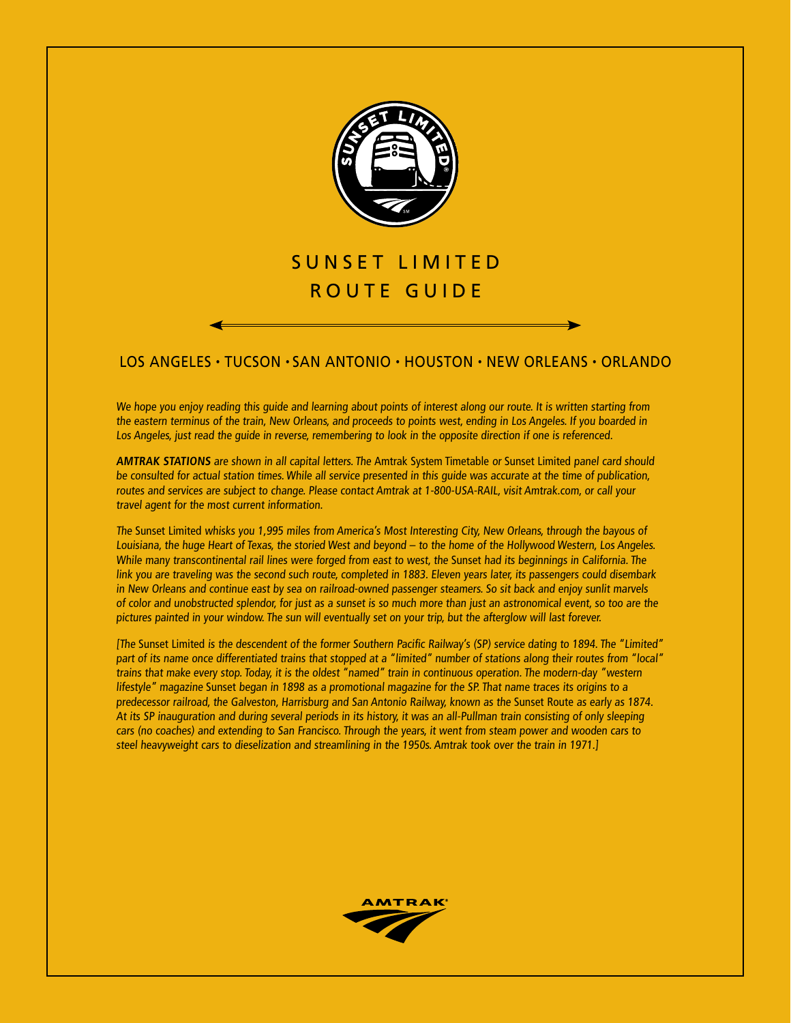

# SUNSET LIMITED R O UTE G UIDE

## los angeles • tucson • san antonio • houston • new orleans • orlando

We hope you enjoy reading this guide and learning about points of interest along our route. It is written starting from the eastern terminus of the train, New Orleans, and proceeds to points west, ending in Los Angeles. If you boarded in Los Angeles, just read the guide in reverse, remembering to look in the opposite direction if one is referenced.

**AMTRAK STATIONS** are shown in all capital letters. The Amtrak System Timetable or Sunset Limited panel card should be consulted for actual station times. While all service presented in this guide was accurate at the time of publication, routes and services are subject to change. Please contact Amtrak at 1-800-USA-RAIL, visit Amtrak.com, or call your travel agent for the most current information.

The Sunset Limited whisks you 1,995 miles from America's Most Interesting City, New Orleans, through the bayous of Louisiana, the huge Heart of Texas, the storied West and beyond – to the home of the Hollywood Western, Los Angeles. While many transcontinental rail lines were forged from east to west, the Sunset had its beginnings in California. The link you are traveling was the second such route, completed in 1883. Eleven years later, its passengers could disembark in New Orleans and continue east by sea on railroad-owned passenger steamers. So sit back and enjoy sunlit marvels of color and unobstructed splendor, for just as a sunset is so much more than just an astronomical event, so too are the pictures painted in your window. The sun will eventually set on your trip, but the afterglow will last forever.

[The Sunset Limited is the descendent of the former Southern Pacific Railway's (SP) service dating to 1894. The "Limited" part of its name once differentiated trains that stopped at a "limited" number of stations along their routes from "local" trains that make every stop. Today, it is the oldest "named" train in continuous operation. The modern-day "western lifestyle" magazine Sunset began in 1898 as a promotional magazine for the SP. That name traces its origins to a predecessor railroad, the Galveston, Harrisburg and San Antonio Railway, known as the Sunset Route as early as 1874. At its SP inauguration and during several periods in its history, it was an all-Pullman train consisting of only sleeping cars (no coaches) and extending to San Francisco. Through the years, it went from steam power and wooden cars to steel heavyweight cars to dieselization and streamlining in the 1950s. Amtrak took over the train in 1971.]

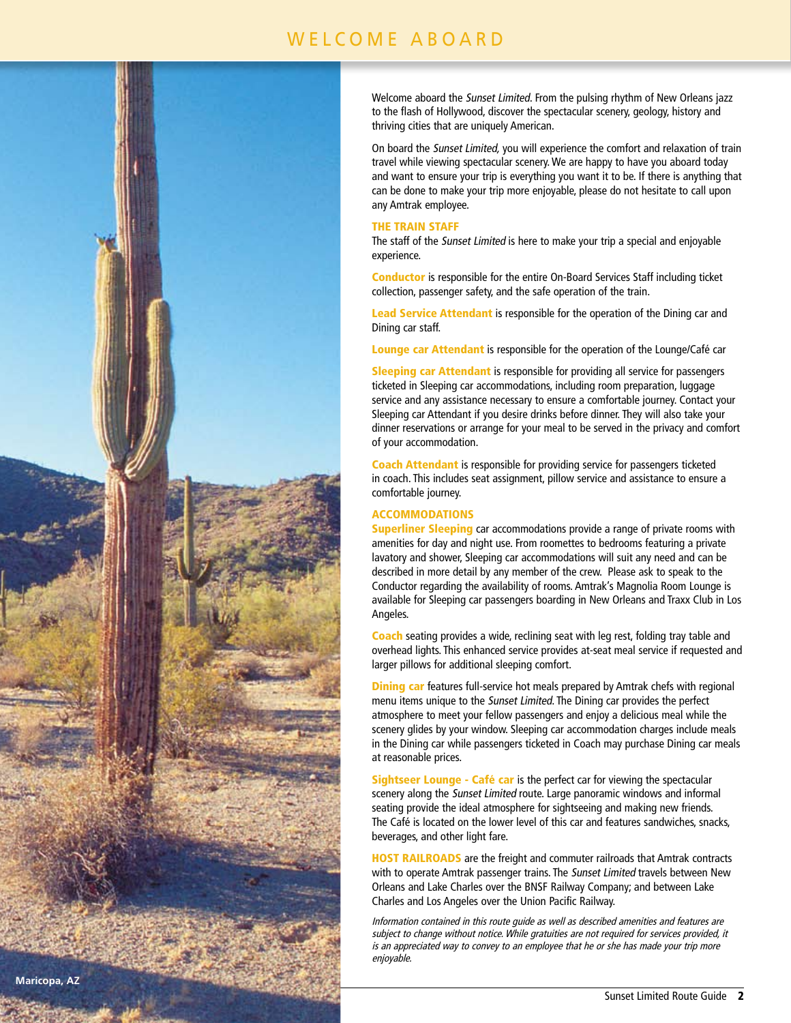## WELCOME ABOARD



Welcome aboard the Sunset Limited. From the pulsing rhythm of New Orleans jazz to the flash of Hollywood, discover the spectacular scenery, geology, history and thriving cities that are uniquely American.

On board the Sunset Limited, you will experience the comfort and relaxation of train travel while viewing spectacular scenery. We are happy to have you aboard today and want to ensure your trip is everything you want it to be. If there is anything that can be done to make your trip more enjoyable, please do not hesitate to call upon any Amtrak employee.

## THE TRAIN STAFF

The staff of the Sunset Limited is here to make your trip a special and enjoyable experience.

Conductor is responsible for the entire On-Board Services Staff including ticket collection, passenger safety, and the safe operation of the train.

Lead Service Attendant is responsible for the operation of the Dining car and Dining car staff.

Lounge car Attendant is responsible for the operation of the Lounge/Café car

Sleeping car Attendant is responsible for providing all service for passengers ticketed in Sleeping car accommodations, including room preparation, luggage service and any assistance necessary to ensure a comfortable journey. Contact your Sleeping car Attendant if you desire drinks before dinner. They will also take your dinner reservations or arrange for your meal to be served in the privacy and comfort of your accommodation.

Coach Attendant is responsible for providing service for passengers ticketed in coach. This includes seat assignment, pillow service and assistance to ensure a comfortable journey.

## ACCOMMODATIONS

**Superliner Sleeping** car accommodations provide a range of private rooms with amenities for day and night use. From roomettes to bedrooms featuring a private lavatory and shower, Sleeping car accommodations will suit any need and can be described in more detail by any member of the crew. Please ask to speak to the Conductor regarding the availability of rooms. Amtrak's Magnolia Room Lounge is available for Sleeping car passengers boarding in New Orleans and Traxx Club in Los Angeles.

**Coach** seating provides a wide, reclining seat with leg rest, folding tray table and overhead lights. This enhanced service provides at-seat meal service if requested and larger pillows for additional sleeping comfort.

**Dining car** features full-service hot meals prepared by Amtrak chefs with regional menu items unique to the Sunset Limited. The Dining car provides the perfect atmosphere to meet your fellow passengers and enjoy a delicious meal while the scenery glides by your window. Sleeping car accommodation charges include meals in the Dining car while passengers ticketed in Coach may purchase Dining car meals at reasonable prices.

Sightseer Lounge - Café car is the perfect car for viewing the spectacular scenery along the Sunset Limited route. Large panoramic windows and informal seating provide the ideal atmosphere for sightseeing and making new friends. The Café is located on the lower level of this car and features sandwiches, snacks, beverages, and other light fare.

HOST RAILROADS are the freight and commuter railroads that Amtrak contracts with to operate Amtrak passenger trains. The Sunset Limited travels between New Orleans and Lake Charles over the BNSF Railway Company; and between Lake Charles and Los Angeles over the Union Pacific Railway.

Information contained in this route guide as well as described amenities and features are subject to change without notice. While gratuities are not required for services provided, it is an appreciated way to convey to an employee that he or she has made your trip more enjoyable.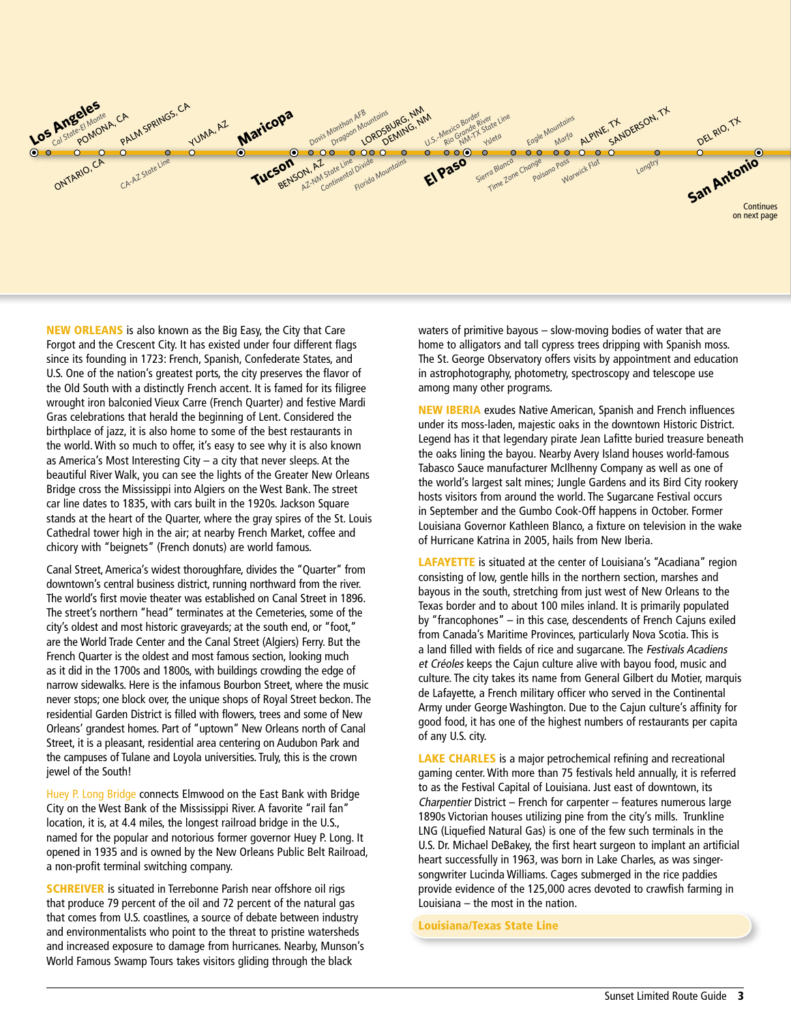

NEW ORLEANS is also known as the Big Easy, the City that Care Forgot and the Crescent City. It has existed under four different flags since its founding in 1723: French, Spanish, Confederate States, and U.S. One of the nation's greatest ports, the city preserves the flavor of the Old South with a distinctly French accent. It is famed for its filigree wrought iron balconied Vieux Carre (French Quarter) and festive Mardi Gras celebrations that herald the beginning of Lent. Considered the birthplace of jazz, it is also home to some of the best restaurants in the world. With so much to offer, it's easy to see why it is also known as America's Most Interesting City – a city that never sleeps. At the beautiful River Walk, you can see the lights of the Greater New Orleans Bridge cross the Mississippi into Algiers on the West Bank. The street car line dates to 1835, with cars built in the 1920s. Jackson Square stands at the heart of the Quarter, where the gray spires of the St. Louis Cathedral tower high in the air; at nearby French Market, coffee and chicory with "beignets" (French donuts) are world famous.

Canal Street, America's widest thoroughfare, divides the "Quarter" from downtown's central business district, running northward from the river. The world's first movie theater was established on Canal Street in 1896. The street's northern "head" terminates at the Cemeteries, some of the city's oldest and most historic graveyards; at the south end, or "foot," are the World Trade Center and the Canal Street (Algiers) Ferry. But the French Quarter is the oldest and most famous section, looking much as it did in the 1700s and 1800s, with buildings crowding the edge of narrow sidewalks. Here is the infamous Bourbon Street, where the music never stops; one block over, the unique shops of Royal Street beckon. The residential Garden District is filled with flowers, trees and some of New Orleans' grandest homes. Part of "uptown" New Orleans north of Canal Street, it is a pleasant, residential area centering on Audubon Park and the campuses of Tulane and Loyola universities. Truly, this is the crown jewel of the South!

Huey P. Long Bridge connects Elmwood on the East Bank with Bridge City on the West Bank of the Mississippi River. A favorite "rail fan" location, it is, at 4.4 miles, the longest railroad bridge in the U.S., named for the popular and notorious former governor Huey P. Long. It opened in 1935 and is owned by the New Orleans Public Belt Railroad, a non-profit terminal switching company.

**SCHREIVER** is situated in Terrebonne Parish near offshore oil rigs that produce 79 percent of the oil and 72 percent of the natural gas that comes from U.S. coastlines, a source of debate between industry and environmentalists who point to the threat to pristine watersheds and increased exposure to damage from hurricanes. Nearby, Munson's World Famous Swamp Tours takes visitors gliding through the black

waters of primitive bayous – slow-moving bodies of water that are home to alligators and tall cypress trees dripping with Spanish moss. The St. George Observatory offers visits by appointment and education in astrophotography, photometry, spectroscopy and telescope use among many other programs.

**NEW IBERIA** exudes Native American, Spanish and French influences under its moss-laden, majestic oaks in the downtown Historic District. Legend has it that legendary pirate Jean Lafitte buried treasure beneath the oaks lining the bayou. Nearby Avery Island houses world-famous Tabasco Sauce manufacturer McIlhenny Company as well as one of the world's largest salt mines; Jungle Gardens and its Bird City rookery hosts visitors from around the world. The Sugarcane Festival occurs in September and the Gumbo Cook-Off happens in October. Former Louisiana Governor Kathleen Blanco, a fixture on television in the wake of Hurricane Katrina in 2005, hails from New Iberia.

**LAFAYETTE** is situated at the center of Louisiana's "Acadiana" region consisting of low, gentle hills in the northern section, marshes and bayous in the south, stretching from just west of New Orleans to the Texas border and to about 100 miles inland. It is primarily populated by "francophones" – in this case, descendents of French Cajuns exiled from Canada's Maritime Provinces, particularly Nova Scotia. This is a land filled with fields of rice and sugarcane. The Festivals Acadiens et Créoles keeps the Cajun culture alive with bayou food, music and culture. The city takes its name from General Gilbert du Motier, marquis de Lafayette, a French military officer who served in the Continental Army under George Washington. Due to the Cajun culture's affinity for good food, it has one of the highest numbers of restaurants per capita of any U.S. city.

LAKE CHARLES is a major petrochemical refining and recreational gaming center. With more than 75 festivals held annually, it is referred to as the Festival Capital of Louisiana. Just east of downtown, its Charpentier District – French for carpenter – features numerous large 1890s Victorian houses utilizing pine from the city's mills. Trunkline LNG (Liquefied Natural Gas) is one of the few such terminals in the U.S. Dr. Michael DeBakey, the first heart surgeon to implant an artificial heart successfully in 1963, was born in Lake Charles, as was singersongwriter Lucinda Williams. Cages submerged in the rice paddies provide evidence of the 125,000 acres devoted to crawfish farming in Louisiana – the most in the nation.

Louisiana/Texas State Line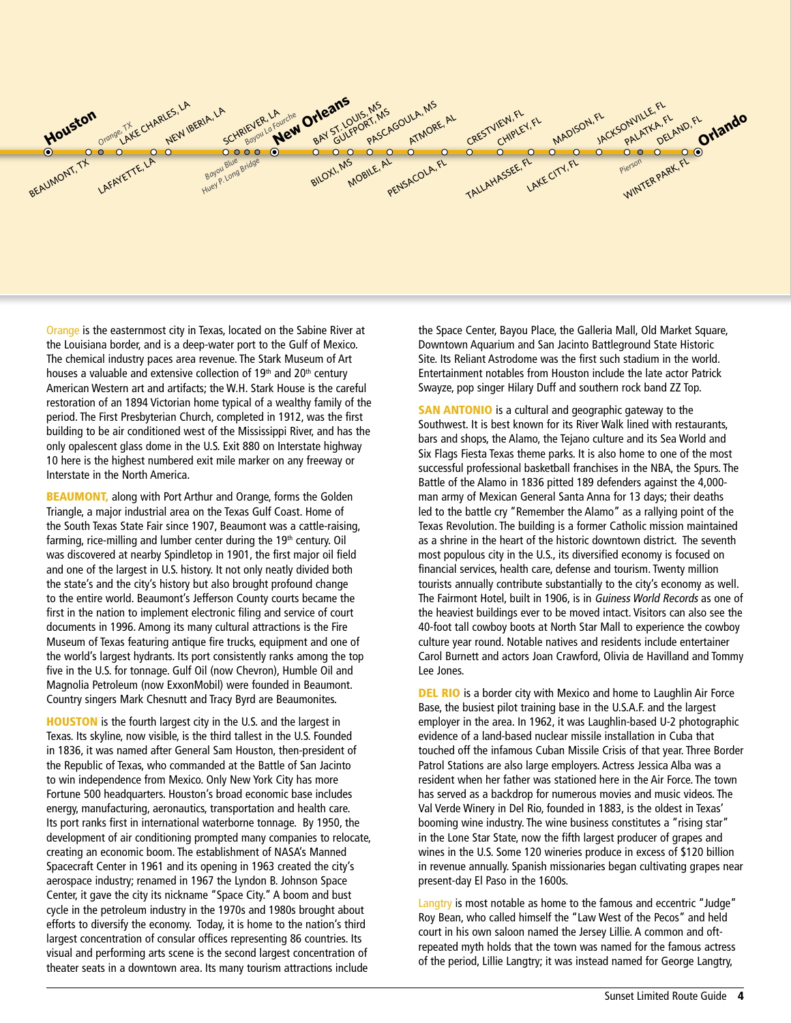

Orange is the easternmost city in Texas, located on the Sabine River at the Louisiana border, and is a deep-water port to the Gulf of Mexico. The chemical industry paces area revenue. The Stark Museum of Art houses a valuable and extensive collection of 19<sup>th</sup> and 20<sup>th</sup> century American Western art and artifacts; the W.H. Stark House is the careful restoration of an 1894 Victorian home typical of a wealthy family of the period. The First Presbyterian Church, completed in 1912, was the first building to be air conditioned west of the Mississippi River, and has the only opalescent glass dome in the U.S. Exit 880 on Interstate highway 10 here is the highest numbered exit mile marker on any freeway or Interstate in the North America.

BEAUMONT, along with Port Arthur and Orange, forms the Golden Triangle, a major industrial area on the Texas Gulf Coast. Home of the South Texas State Fair since 1907, Beaumont was a cattle-raising, farming, rice-milling and lumber center during the 19th century. Oil was discovered at nearby Spindletop in 1901, the first major oil field and one of the largest in U.S. history. It not only neatly divided both the state's and the city's history but also brought profound change to the entire world. Beaumont's Jefferson County courts became the first in the nation to implement electronic filing and service of court documents in 1996. Among its many cultural attractions is the Fire Museum of Texas featuring antique fire trucks, equipment and one of the world's largest hydrants. Its port consistently ranks among the top five in the U.S. for tonnage. Gulf Oil (now Chevron), Humble Oil and Magnolia Petroleum (now ExxonMobil) were founded in Beaumont. Country singers Mark Chesnutt and Tracy Byrd are Beaumonites.

HOUSTON is the fourth largest city in the U.S. and the largest in Texas. Its skyline, now visible, is the third tallest in the U.S. Founded in 1836, it was named after General Sam Houston, then-president of the Republic of Texas, who commanded at the Battle of San Jacinto to win independence from Mexico. Only New York City has more Fortune 500 headquarters. Houston's broad economic base includes energy, manufacturing, aeronautics, transportation and health care. Its port ranks first in international waterborne tonnage. By 1950, the development of air conditioning prompted many companies to relocate, creating an economic boom. The establishment of NASA's Manned Spacecraft Center in 1961 and its opening in 1963 created the city's aerospace industry; renamed in 1967 the Lyndon B. Johnson Space Center, it gave the city its nickname "Space City." A boom and bust cycle in the petroleum industry in the 1970s and 1980s brought about efforts to diversify the economy. Today, it is home to the nation's third largest concentration of consular offices representing 86 countries. Its visual and performing arts scene is the second largest concentration of theater seats in a downtown area. Its many tourism attractions include

the Space Center, Bayou Place, the Galleria Mall, Old Market Square, Downtown Aquarium and San Jacinto Battleground State Historic Site. Its Reliant Astrodome was the first such stadium in the world. Entertainment notables from Houston include the late actor Patrick Swayze, pop singer Hilary Duff and southern rock band ZZ Top.

**SAN ANTONIO** is a cultural and geographic gateway to the Southwest. It is best known for its River Walk lined with restaurants, bars and shops, the Alamo, the Tejano culture and its Sea World and Six Flags Fiesta Texas theme parks. It is also home to one of the most successful professional basketball franchises in the NBA, the Spurs. The Battle of the Alamo in 1836 pitted 189 defenders against the 4,000 man army of Mexican General Santa Anna for 13 days; their deaths led to the battle cry "Remember the Alamo" as a rallying point of the Texas Revolution. The building is a former Catholic mission maintained as a shrine in the heart of the historic downtown district. The seventh most populous city in the U.S., its diversified economy is focused on financial services, health care, defense and tourism. Twenty million tourists annually contribute substantially to the city's economy as well. The Fairmont Hotel, built in 1906, is in Guiness World Records as one of the heaviest buildings ever to be moved intact. Visitors can also see the 40-foot tall cowboy boots at North Star Mall to experience the cowboy culture year round. Notable natives and residents include entertainer Carol Burnett and actors Joan Crawford, Olivia de Havilland and Tommy Lee Jones.

**DEL RIO** is a border city with Mexico and home to Laughlin Air Force Base, the busiest pilot training base in the U.S.A.F. and the largest employer in the area. In 1962, it was Laughlin-based U-2 photographic evidence of a land-based nuclear missile installation in Cuba that touched off the infamous Cuban Missile Crisis of that year. Three Border Patrol Stations are also large employers. Actress Jessica Alba was a resident when her father was stationed here in the Air Force. The town has served as a backdrop for numerous movies and music videos. The Val Verde Winery in Del Rio, founded in 1883, is the oldest in Texas' booming wine industry. The wine business constitutes a "rising star" in the Lone Star State, now the fifth largest producer of grapes and wines in the U.S. Some 120 wineries produce in excess of \$120 billion in revenue annually. Spanish missionaries began cultivating grapes near present-day El Paso in the 1600s.

Langtry is most notable as home to the famous and eccentric "Judge" Roy Bean, who called himself the "Law West of the Pecos" and held court in his own saloon named the Jersey Lillie. A common and oftrepeated myth holds that the town was named for the famous actress of the period, Lillie Langtry; it was instead named for George Langtry,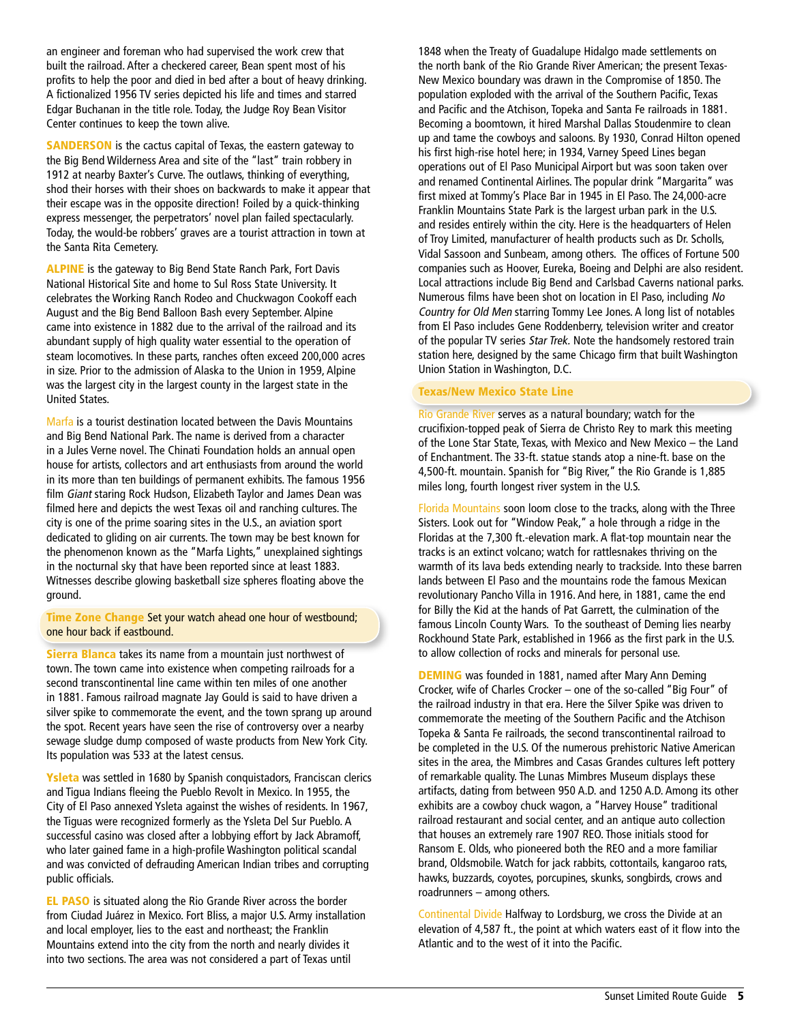an engineer and foreman who had supervised the work crew that built the railroad. After a checkered career, Bean spent most of his profits to help the poor and died in bed after a bout of heavy drinking. A fictionalized 1956 TV series depicted his life and times and starred Edgar Buchanan in the title role. Today, the Judge Roy Bean Visitor Center continues to keep the town alive.

**SANDERSON** is the cactus capital of Texas, the eastern gateway to the Big Bend Wilderness Area and site of the "last" train robbery in 1912 at nearby Baxter's Curve. The outlaws, thinking of everything, shod their horses with their shoes on backwards to make it appear that their escape was in the opposite direction! Foiled by a quick-thinking express messenger, the perpetrators' novel plan failed spectacularly. Today, the would-be robbers' graves are a tourist attraction in town at the Santa Rita Cemetery.

ALPINE is the gateway to Big Bend State Ranch Park, Fort Davis National Historical Site and home to Sul Ross State University. It celebrates the Working Ranch Rodeo and Chuckwagon Cookoff each August and the Big Bend Balloon Bash every September. Alpine came into existence in 1882 due to the arrival of the railroad and its abundant supply of high quality water essential to the operation of steam locomotives. In these parts, ranches often exceed 200,000 acres in size. Prior to the admission of Alaska to the Union in 1959, Alpine was the largest city in the largest county in the largest state in the United States.

Marfa is a tourist destination located between the Davis Mountains and Big Bend National Park. The name is derived from a character in a Jules Verne novel. The Chinati Foundation holds an annual open house for artists, collectors and art enthusiasts from around the world in its more than ten buildings of permanent exhibits. The famous 1956 film Giant staring Rock Hudson, Elizabeth Taylor and James Dean was filmed here and depicts the west Texas oil and ranching cultures. The city is one of the prime soaring sites in the U.S., an aviation sport dedicated to gliding on air currents. The town may be best known for the phenomenon known as the "Marfa Lights," unexplained sightings in the nocturnal sky that have been reported since at least 1883. Witnesses describe glowing basketball size spheres floating above the ground.

Time Zone Change Set your watch ahead one hour of westbound; one hour back if eastbound.

Sierra Blanca takes its name from a mountain just northwest of town. The town came into existence when competing railroads for a second transcontinental line came within ten miles of one another in 1881. Famous railroad magnate Jay Gould is said to have driven a silver spike to commemorate the event, and the town sprang up around the spot. Recent years have seen the rise of controversy over a nearby sewage sludge dump composed of waste products from New York City. Its population was 533 at the latest census.

Ysleta was settled in 1680 by Spanish conquistadors, Franciscan clerics and Tigua Indians fleeing the Pueblo Revolt in Mexico. In 1955, the City of El Paso annexed Ysleta against the wishes of residents. In 1967, the Tiguas were recognized formerly as the Ysleta Del Sur Pueblo. A successful casino was closed after a lobbying effort by Jack Abramoff, who later gained fame in a high-profile Washington political scandal and was convicted of defrauding American Indian tribes and corrupting public officials.

EL PASO is situated along the Rio Grande River across the border from Ciudad Juárez in Mexico. Fort Bliss, a major U.S. Army installation and local employer, lies to the east and northeast; the Franklin Mountains extend into the city from the north and nearly divides it into two sections. The area was not considered a part of Texas until

1848 when the Treaty of Guadalupe Hidalgo made settlements on the north bank of the Rio Grande River American; the present Texas-New Mexico boundary was drawn in the Compromise of 1850. The population exploded with the arrival of the Southern Pacific, Texas and Pacific and the Atchison, Topeka and Santa Fe railroads in 1881. Becoming a boomtown, it hired Marshal Dallas Stoudenmire to clean up and tame the cowboys and saloons. By 1930, Conrad Hilton opened his first high-rise hotel here; in 1934, Varney Speed Lines began operations out of El Paso Municipal Airport but was soon taken over and renamed Continental Airlines. The popular drink "Margarita" was first mixed at Tommy's Place Bar in 1945 in El Paso. The 24,000-acre Franklin Mountains State Park is the largest urban park in the U.S. and resides entirely within the city. Here is the headquarters of Helen of Troy Limited, manufacturer of health products such as Dr. Scholls, Vidal Sassoon and Sunbeam, among others. The offices of Fortune 500 companies such as Hoover, Eureka, Boeing and Delphi are also resident. Local attractions include Big Bend and Carlsbad Caverns national parks. Numerous films have been shot on location in El Paso, including No Country for Old Men starring Tommy Lee Jones. A long list of notables from El Paso includes Gene Roddenberry, television writer and creator of the popular TV series Star Trek. Note the handsomely restored train station here, designed by the same Chicago firm that built Washington Union Station in Washington, D.C.

### Texas/New Mexico State Line

Rio Grande River serves as a natural boundary; watch for the crucifixion-topped peak of Sierra de Christo Rey to mark this meeting of the Lone Star State, Texas, with Mexico and New Mexico – the Land of Enchantment. The 33-ft. statue stands atop a nine-ft. base on the 4,500-ft. mountain. Spanish for "Big River," the Rio Grande is 1,885 miles long, fourth longest river system in the U.S.

Florida Mountains soon loom close to the tracks, along with the Three Sisters. Look out for "Window Peak," a hole through a ridge in the Floridas at the 7,300 ft.-elevation mark. A flat-top mountain near the tracks is an extinct volcano; watch for rattlesnakes thriving on the warmth of its lava beds extending nearly to trackside. Into these barren lands between El Paso and the mountains rode the famous Mexican revolutionary Pancho Villa in 1916. And here, in 1881, came the end for Billy the Kid at the hands of Pat Garrett, the culmination of the famous Lincoln County Wars. To the southeast of Deming lies nearby Rockhound State Park, established in 1966 as the first park in the U.S. to allow collection of rocks and minerals for personal use.

DEMING was founded in 1881, named after Mary Ann Deming Crocker, wife of Charles Crocker – one of the so-called "Big Four" of the railroad industry in that era. Here the Silver Spike was driven to commemorate the meeting of the Southern Pacific and the Atchison Topeka & Santa Fe railroads, the second transcontinental railroad to be completed in the U.S. Of the numerous prehistoric Native American sites in the area, the Mimbres and Casas Grandes cultures left pottery of remarkable quality. The Lunas Mimbres Museum displays these artifacts, dating from between 950 A.D. and 1250 A.D. Among its other exhibits are a cowboy chuck wagon, a "Harvey House" traditional railroad restaurant and social center, and an antique auto collection that houses an extremely rare 1907 REO. Those initials stood for Ransom E. Olds, who pioneered both the REO and a more familiar brand, Oldsmobile. Watch for jack rabbits, cottontails, kangaroo rats, hawks, buzzards, coyotes, porcupines, skunks, songbirds, crows and roadrunners – among others.

Continental Divide Halfway to Lordsburg, we cross the Divide at an elevation of 4,587 ft., the point at which waters east of it flow into the Atlantic and to the west of it into the Pacific.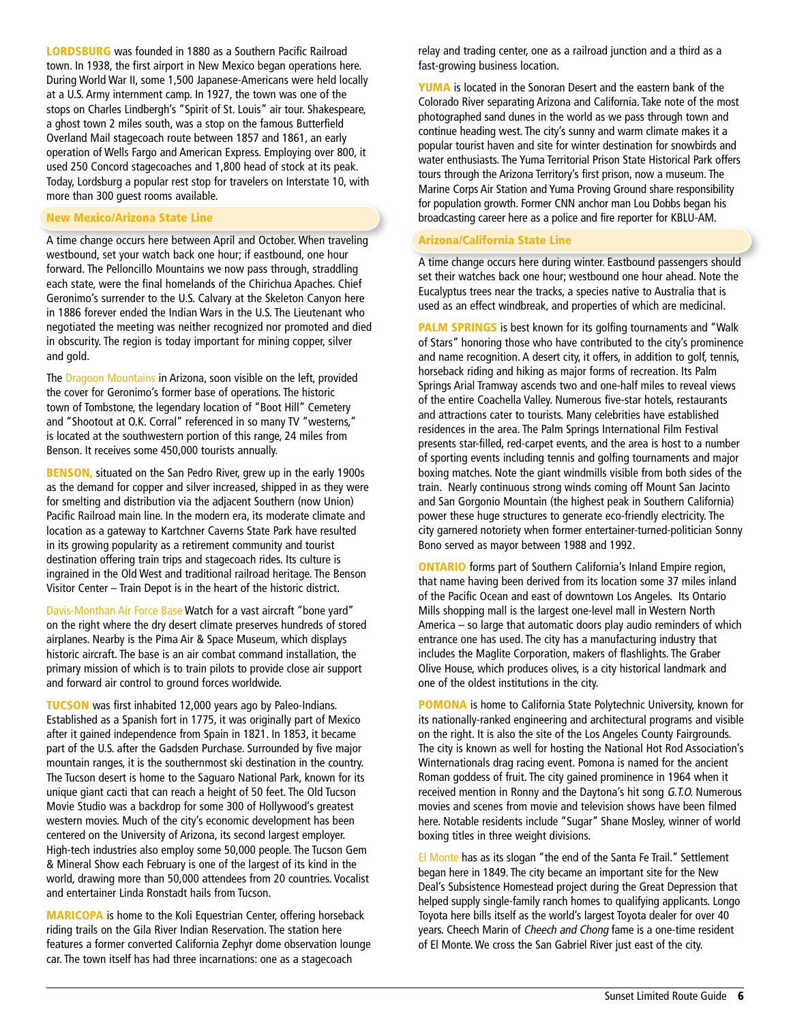LORDSBURG was founded in 1880 as a Southern Pacific Railroad town. In 1938, the first airport in New Mexico began operations here. During World War II, some 1,500 Japanese-Americans were held locally at a U.S. Army internment camp. In 1927, the town was one of the stops on Charles Lindbergh's "Spirit of St. Louis" air tour. Shakespeare, a ghost town 2 miles south, was a stop on the famous Butterfield Overland Mail stagecoach route between 1857 and 1861, an early operation of Wells Fargo and American Express. Employing over 800, it used 250 Concord stagecoaches and 1,800 head of stock at its peak. Today, Lordsburg a popular rest stop for travelers on Interstate 10, with more than 300 guest rooms available.

## New Mexico/Arizona State Line

A time change occurs here between April and October. When traveling westbound, set your watch back one hour; if eastbound, one hour forward. The Pelloncillo Mountains we now pass through, straddling each state, were the final homelands of the Chirichua Apaches. Chief Geronimo's surrender to the U.S. Calvary at the Skeleton Canyon here in 1886 forever ended the Indian Wars in the U.S. The Lieutenant who negotiated the meeting was neither recognized nor promoted and died in obscurity. The region is today important for mining copper, silver and gold.

The Dragoon Mountains in Arizona, soon visible on the left, provided the cover for Geronimo's former base of operations. The historic town of Tombstone, the legendary location of "Boot Hill" Cemetery and "Shootout at O.K. Corral" referenced in so many TV "westerns," is located at the southwestern portion of this range, 24 miles from Benson. It receives some 450,000 tourists annually.

BENSON, situated on the San Pedro River, grew up in the early 1900s as the demand for copper and silver increased, shipped in as they were for smelting and distribution via the adjacent Southern (now Union) Pacific Railroad main line. In the modern era, its moderate climate and location as a gateway to Kartchner Caverns State Park have resulted in its growing popularity as a retirement community and tourist destination offering train trips and stagecoach rides. Its culture is ingrained in the Old West and traditional railroad heritage. The Benson Visitor Center – Train Depot is in the heart of the historic district.

Davis-Monthan Air Force Base Watch for a vast aircraft "bone yard" on the right where the dry desert climate preserves hundreds of stored airplanes. Nearby is the Pima Air & Space Museum, which displays historic aircraft. The base is an air combat command installation, the primary mission of which is to train pilots to provide close air support and forward air control to ground forces worldwide.

TUCSON was first inhabited 12,000 years ago by Paleo-Indians. Established as a Spanish fort in 1775, it was originally part of Mexico after it gained independence from Spain in 1821. In 1853, it became part of the U.S. after the Gadsden Purchase. Surrounded by five major mountain ranges, it is the southernmost ski destination in the country. The Tucson desert is home to the Saguaro National Park, known for its unique giant cacti that can reach a height of 50 feet. The Old Tucson Movie Studio was a backdrop for some 300 of Hollywood's greatest western movies. Much of the city's economic development has been centered on the University of Arizona, its second largest employer. High-tech industries also employ some 50,000 people. The Tucson Gem & Mineral Show each February is one of the largest of its kind in the world, drawing more than 50,000 attendees from 20 countries. Vocalist and entertainer Linda Ronstadt hails from Tucson.

MARICOPA is home to the Koli Equestrian Center, offering horseback riding trails on the Gila River Indian Reservation. The station here features a former converted California Zephyr dome observation lounge car. The town itself has had three incarnations: one as a stagecoach

relay and trading center, one as a railroad junction and a third as a fast-growing business location.

YUMA is located in the Sonoran Desert and the eastern bank of the Colorado River separating Arizona and California. Take note of the most photographed sand dunes in the world as we pass through town and continue heading west. The city's sunny and warm climate makes it a popular tourist haven and site for winter destination for snowbirds and water enthusiasts. The Yuma Territorial Prison State Historical Park offers tours through the Arizona Territory's first prison, now a museum. The Marine Corps Air Station and Yuma Proving Ground share responsibility for population growth. Former CNN anchor man Lou Dobbs began his broadcasting career here as a police and fire reporter for KBLU-AM.

## Arizona/California State Line

A time change occurs here during winter. Eastbound passengers should set their watches back one hour; westbound one hour ahead. Note the Eucalyptus trees near the tracks, a species native to Australia that is used as an effect windbreak, and properties of which are medicinal.

**PALM SPRINGS** is best known for its golfing tournaments and "Walk" of Stars" honoring those who have contributed to the city's prominence and name recognition. A desert city, it offers, in addition to golf, tennis, horseback riding and hiking as major forms of recreation. Its Palm Springs Arial Tramway ascends two and one-half miles to reveal views of the entire Coachella Valley. Numerous five-star hotels, restaurants and attractions cater to tourists. Many celebrities have established residences in the area. The Palm Springs International Film Festival presents star-filled, red-carpet events, and the area is host to a number of sporting events including tennis and golfing tournaments and major boxing matches. Note the giant windmills visible from both sides of the train. Nearly continuous strong winds coming off Mount San Jacinto and San Gorgonio Mountain (the highest peak in Southern California) power these huge structures to generate eco-friendly electricity. The city garnered notoriety when former entertainer-turned-politician Sonny Bono served as mayor between 1988 and 1992.

ONTARIO forms part of Southern California's Inland Empire region, that name having been derived from its location some 37 miles inland of the Pacific Ocean and east of downtown Los Angeles. Its Ontario Mills shopping mall is the largest one-level mall in Western North America – so large that automatic doors play audio reminders of which entrance one has used. The city has a manufacturing industry that includes the Maglite Corporation, makers of flashlights. The Graber Olive House, which produces olives, is a city historical landmark and one of the oldest institutions in the city.

**POMONA** is home to California State Polytechnic University, known for its nationally-ranked engineering and architectural programs and visible on the right. It is also the site of the Los Angeles County Fairgrounds. The city is known as well for hosting the National Hot Rod Association's Winternationals drag racing event. Pomona is named for the ancient Roman goddess of fruit. The city gained prominence in 1964 when it received mention in Ronny and the Daytona's hit song G.T.O. Numerous movies and scenes from movie and television shows have been filmed here. Notable residents include "Sugar" Shane Mosley, winner of world boxing titles in three weight divisions.

El Monte has as its slogan "the end of the Santa Fe Trail." Settlement began here in 1849. The city became an important site for the New Deal's Subsistence Homestead project during the Great Depression that helped supply single-family ranch homes to qualifying applicants. Longo Toyota here bills itself as the world's largest Toyota dealer for over 40 years. Cheech Marin of Cheech and Chong fame is a one-time resident of El Monte. We cross the San Gabriel River just east of the city.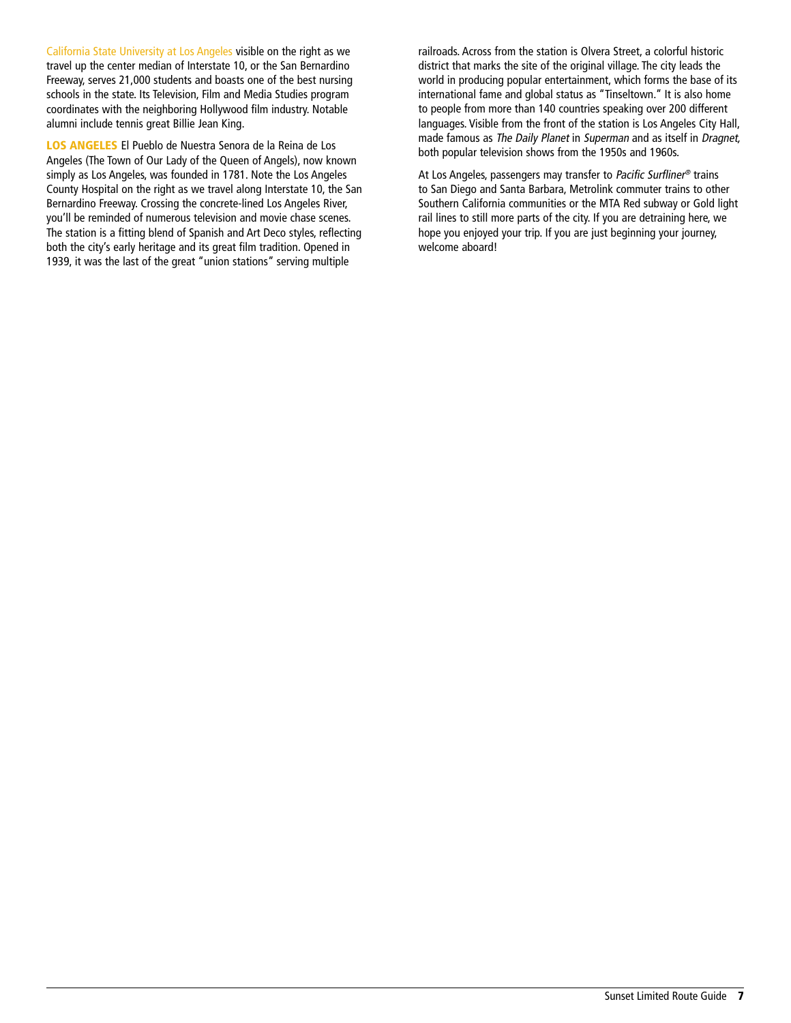California State University at Los Angeles visible on the right as we travel up the center median of Interstate 10, or the San Bernardino Freeway, serves 21,000 students and boasts one of the best nursing schools in the state. Its Television, Film and Media Studies program coordinates with the neighboring Hollywood film industry. Notable alumni include tennis great Billie Jean King.

LOS ANGELES El Pueblo de Nuestra Senora de la Reina de Los Angeles (The Town of Our Lady of the Queen of Angels), now known simply as Los Angeles, was founded in 1781. Note the Los Angeles County Hospital on the right as we travel along Interstate 10, the San Bernardino Freeway. Crossing the concrete-lined Los Angeles River, you'll be reminded of numerous television and movie chase scenes. The station is a fitting blend of Spanish and Art Deco styles, reflecting both the city's early heritage and its great film tradition. Opened in 1939, it was the last of the great "union stations" serving multiple

railroads. Across from the station is Olvera Street, a colorful historic district that marks the site of the original village. The city leads the world in producing popular entertainment, which forms the base of its international fame and global status as "Tinseltown." It is also home to people from more than 140 countries speaking over 200 different languages. Visible from the front of the station is Los Angeles City Hall, made famous as The Daily Planet in Superman and as itself in Dragnet, both popular television shows from the 1950s and 1960s.

At Los Angeles, passengers may transfer to Pacific Surfliner® trains to San Diego and Santa Barbara, Metrolink commuter trains to other Southern California communities or the MTA Red subway or Gold light rail lines to still more parts of the city. If you are detraining here, we hope you enjoyed your trip. If you are just beginning your journey, welcome aboard!